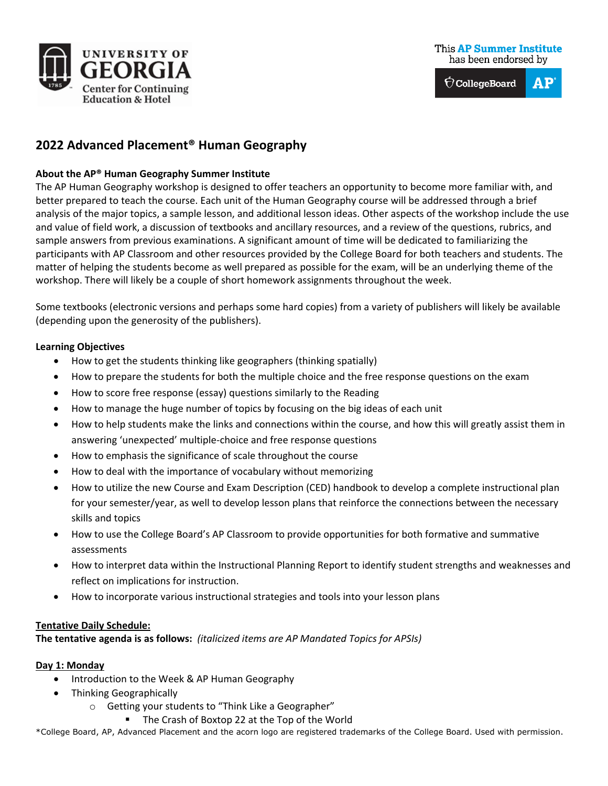

#### **This AP Summer Institute** has been endorsed by

 $\bigcirc$  CollegeBoard  ${\bf AP}$ 

# **2022 Advanced Placement® Human Geography**

### **About the AP® Human Geography Summer Institute**

The AP Human Geography workshop is designed to offer teachers an opportunity to become more familiar with, and better prepared to teach the course. Each unit of the Human Geography course will be addressed through a brief analysis of the major topics, a sample lesson, and additional lesson ideas. Other aspects of the workshop include the use and value of field work, a discussion of textbooks and ancillary resources, and a review of the questions, rubrics, and sample answers from previous examinations. A significant amount of time will be dedicated to familiarizing the participants with AP Classroom and other resources provided by the College Board for both teachers and students. The matter of helping the students become as well prepared as possible for the exam, will be an underlying theme of the workshop. There will likely be a couple of short homework assignments throughout the week.

Some textbooks (electronic versions and perhaps some hard copies) from a variety of publishers will likely be available (depending upon the generosity of the publishers).

## **Learning Objectives**

- How to get the students thinking like geographers (thinking spatially)
- How to prepare the students for both the multiple choice and the free response questions on the exam
- How to score free response (essay) questions similarly to the Reading
- How to manage the huge number of topics by focusing on the big ideas of each unit
- How to help students make the links and connections within the course, and how this will greatly assist them in answering 'unexpected' multiple-choice and free response questions
- How to emphasis the significance of scale throughout the course
- How to deal with the importance of vocabulary without memorizing
- How to utilize the new Course and Exam Description (CED) handbook to develop a complete instructional plan for your semester/year, as well to develop lesson plans that reinforce the connections between the necessary skills and topics
- How to use the College Board's AP Classroom to provide opportunities for both formative and summative assessments
- How to interpret data within the Instructional Planning Report to identify student strengths and weaknesses and reflect on implications for instruction.
- How to incorporate various instructional strategies and tools into your lesson plans

#### **Tentative Daily Schedule:**

**The tentative agenda is as follows:** *(italicized items are AP Mandated Topics for APSIs)*

#### **Day 1: Monday**

- Introduction to the Week & AP Human Geography
- Thinking Geographically
	- o Getting your students to "Think Like a Geographer"
		- **The Crash of Boxtop 22 at the Top of the World**

\*College Board, AP, Advanced Placement and the acorn logo are registered trademarks of the College Board. Used with permission.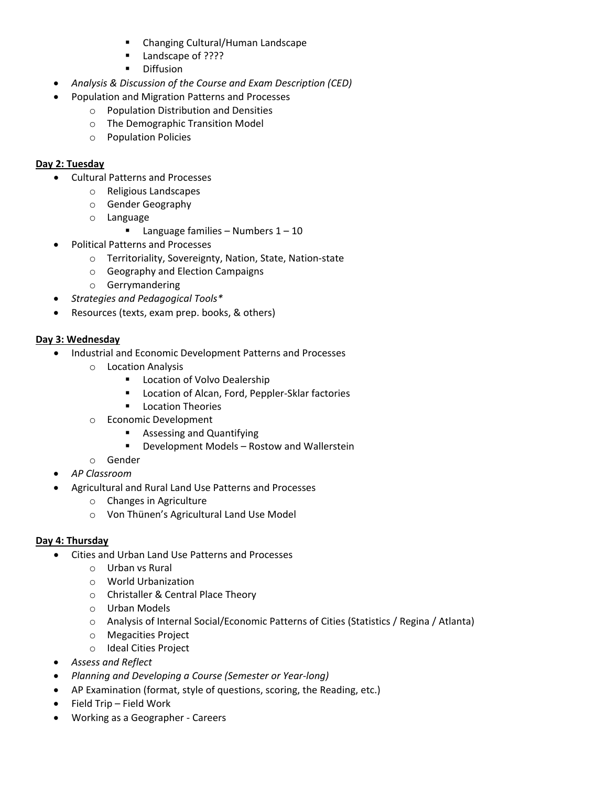- Changing Cultural/Human Landscape
- **Landscape of ????**
- **Diffusion**
- *Analysis & Discussion of the Course and Exam Description (CED)*
- Population and Migration Patterns and Processes
	- o Population Distribution and Densities
	- o The Demographic Transition Model
	- o Population Policies

### **Day 2: Tuesday**

- Cultural Patterns and Processes
	- o Religious Landscapes
	- o Gender Geography
	- o Language
		- **Language families Numbers 1 10**
- Political Patterns and Processes
	- o Territoriality, Sovereignty, Nation, State, Nation-state
	- o Geography and Election Campaigns
	- o Gerrymandering
- *Strategies and Pedagogical Tools\**
- Resources (texts, exam prep. books, & others)

#### **Day 3: Wednesday**

- Industrial and Economic Development Patterns and Processes
	- o Location Analysis
		- **-** Location of Volvo Dealership
		- **EXEC** Location of Alcan, Ford, Peppler-Sklar factories
		- **E** Location Theories
	- o Economic Development
		- **Assessing and Quantifying**
		- **•** Development Models Rostow and Wallerstein
	- o Gender
- *AP Classroom*
- Agricultural and Rural Land Use Patterns and Processes
	- o Changes in Agriculture
	- o Von Thünen's Agricultural Land Use Model

#### **Day 4: Thursday**

- Cities and Urban Land Use Patterns and Processes
	- o Urban vs Rural
	- o World Urbanization
	- o Christaller & Central Place Theory
	- o Urban Models
	- o Analysis of Internal Social/Economic Patterns of Cities (Statistics / Regina / Atlanta)
	- o Megacities Project
	- o Ideal Cities Project
- *Assess and Reflect*
- *Planning and Developing a Course (Semester or Year-long)*
- AP Examination (format, style of questions, scoring, the Reading, etc.)
- Field Trip Field Work
- Working as a Geographer Careers